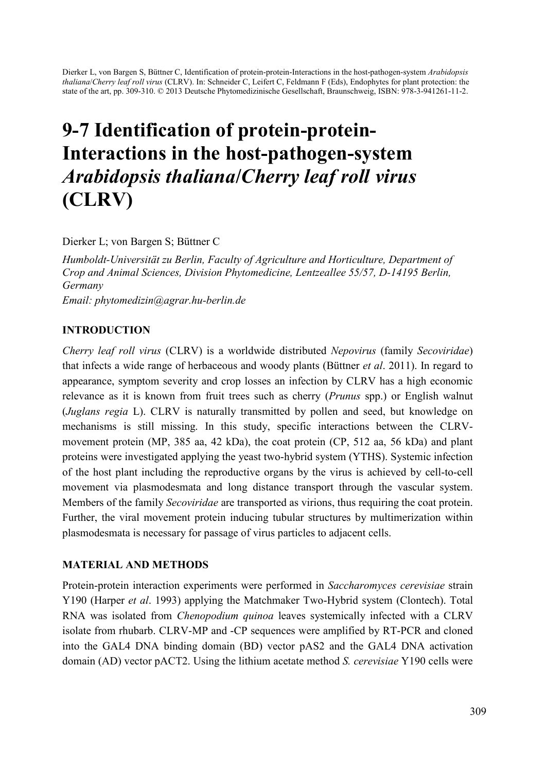Dierker L, von Bargen S, Büttner C, Identification of protein-protein-Interactions in the host-pathogen-system *Arabidopsis thaliana*/*Cherry leaf roll virus* (CLRV). In: Schneider C, Leifert C, Feldmann F (Eds), Endophytes for plant protection: the state of the art, pp. 309-310. © 2013 Deutsche Phytomedizinische Gesellschaft, Braunschweig, ISBN: 978-3-941261-11-2.

# 9-7 Identification of protein-protein-Interactions in the host-pathogen-system *Arabidopsis thaliana*/*Cherry leaf roll virus*  (CLRV)

Dierker L; von Bargen S; Büttner C

*Humboldt-Universität zu Berlin, Faculty of Agriculture and Horticulture, Department of Crop and Animal Sciences, Division Phytomedicine, Lentzeallee 55/57, D-14195 Berlin, Germany* 

*Email: phytomedizin@agrar.hu-berlin.de* 

#### INTRODUCTION

*Cherry leaf roll virus* (CLRV) is a worldwide distributed *Nepovirus* (family *Secoviridae*) that infects a wide range of herbaceous and woody plants (Büttner *et al*. 2011). In regard to appearance, symptom severity and crop losses an infection by CLRV has a high economic relevance as it is known from fruit trees such as cherry (*Prunus* spp.) or English walnut (*Juglans regia* L). CLRV is naturally transmitted by pollen and seed, but knowledge on mechanisms is still missing. In this study, specific interactions between the CLRVmovement protein (MP, 385 aa, 42 kDa), the coat protein (CP, 512 aa, 56 kDa) and plant proteins were investigated applying the yeast two-hybrid system (YTHS). Systemic infection of the host plant including the reproductive organs by the virus is achieved by cell-to-cell movement via plasmodesmata and long distance transport through the vascular system. Members of the family *Secoviridae* are transported as virions, thus requiring the coat protein. Further, the viral movement protein inducing tubular structures by multimerization within plasmodesmata is necessary for passage of virus particles to adjacent cells.

#### MATERIAL AND METHODS

Protein-protein interaction experiments were performed in *Saccharomyces cerevisiae* strain Y190 (Harper *et al*. 1993) applying the Matchmaker Two-Hybrid system (Clontech). Total RNA was isolated from *Chenopodium quinoa* leaves systemically infected with a CLRV isolate from rhubarb. CLRV-MP and -CP sequences were amplified by RT-PCR and cloned into the GAL4 DNA binding domain (BD) vector pAS2 and the GAL4 DNA activation domain (AD) vector pACT2. Using the lithium acetate method *S. cerevisiae* Y190 cells were